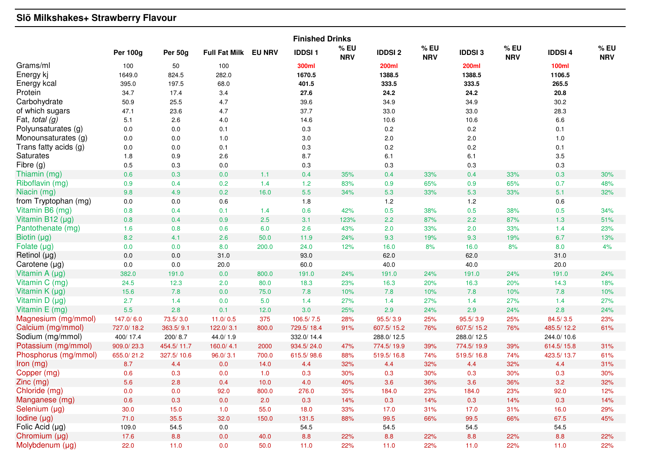## **Slõ Milkshakes+ Strawberry Flavour**

| <b>Finished Drinks</b>                       |                 |             |                      |               |                          |                    |                                 |                      |                        |                      |                        |                      |
|----------------------------------------------|-----------------|-------------|----------------------|---------------|--------------------------|--------------------|---------------------------------|----------------------|------------------------|----------------------|------------------------|----------------------|
|                                              | <b>Per 100g</b> | Per 50g     | <b>Full Fat Milk</b> | <b>EU NRV</b> | <b>IDDSI1</b>            | % EU<br><b>NRV</b> | <b>IDDSI2</b>                   | $%$ EU<br><b>NRV</b> | <b>IDDSI3</b>          | $%$ EU<br><b>NRV</b> | <b>IDDSI4</b>          | $%$ EU<br><b>NRV</b> |
| Grams/ml<br>Energy kj                        | 100<br>1649.0   | 50<br>824.5 | 100<br>282.0         |               | 300ml<br>1670.5<br>401.5 |                    | <b>200ml</b><br>1388.5<br>333.5 |                      | <b>200ml</b><br>1388.5 |                      | <b>100ml</b><br>1106.5 |                      |
| Energy kcal<br>Protein                       | 395.0           | 197.5       | 68.0                 |               |                          |                    |                                 |                      | 333.5                  |                      | 265.5                  |                      |
| Carbohydrate                                 | 34.7            | 17.4        | 3.4                  |               | 27.6                     |                    | 24.2                            |                      | 24.2                   |                      | 20.8                   |                      |
|                                              | 50.9            | 25.5        | 4.7                  |               | 39.6                     |                    | 34.9                            |                      | 34.9                   |                      | 30.2                   |                      |
| of which sugars<br>Fat, total $(g)$          | 47.1<br>5.1     | 23.6        | 4.7                  |               | 37.7                     |                    | 33.0                            |                      | 33.0                   |                      | 28.3<br>6.6            |                      |
| Polyunsaturates (g)                          |                 | 2.6         | $4.0$                |               | 14.6                     |                    | 10.6                            |                      | 10.6                   |                      |                        |                      |
|                                              | 0.0             | 0.0         | 0.1                  |               | 0.3                      |                    | 0.2                             |                      | 0.2                    |                      | 0.1                    |                      |
| Monounsaturates (g)<br>Trans fatty acids (g) | 0.0             | 0.0         | 1.0                  |               | 3.0                      |                    | 2.0                             |                      | 2.0                    |                      | 1.0                    |                      |
| <b>Saturates</b>                             | 0.0             | 0.0         | 0.1<br>2.6           |               | 0.3                      |                    | $0.2\,$                         |                      | 0.2                    |                      | 0.1<br>3.5             |                      |
| Fibre (g)                                    | 1.8             | 0.9         |                      |               | 8.7                      |                    | 6.1                             |                      | 6.1                    |                      |                        |                      |
| Thiamin (mg)                                 | 0.5             | 0.3         | 0.0                  | 1.1           | 0.3                      |                    | 0.3                             |                      | 0.3                    | 33%                  | 0.3                    |                      |
| Riboflavin (mg)                              | 0.6             | 0.3         | 0.0                  |               | 0.4                      | 35%                | 0.4                             | 33%                  | 0.4                    |                      | 0.3                    | 30%                  |
| Niacin (mg)                                  | 0.9<br>9.8      | 0.4<br>4.9  | 0.2<br>0.2           | 1.4<br>16.0   | $1.2$<br>$5.5\,$         | 83%<br>34%         | 0.9<br>5.3                      | 65%<br>33%           | 0.9<br>5.3             | 65%<br>33%           | 0.7<br>5.1             | 48%<br>32%           |
| from Tryptophan (mg)                         | 0.0             | $0.0\,$     | $0.6\,$              |               | $1.8$                    |                    | $1.2\,$                         |                      | $1.2\,$                |                      | 0.6                    |                      |
| Vitamin B6 (mg)                              | 0.8             | 0.4         | 0.1                  | 1.4           | 0.6                      | 42%                | 0.5                             | 38%                  | 0.5                    | 38%                  | 0.5                    | 34%                  |
| Vitamin B12 (µg)                             | $0.8\,$         | 0.4         | 0.9                  | 2.5           | 3.1                      | 123%               | 2.2                             | 87%                  | 2.2                    | 87%                  | 1.3                    | 51%                  |
| Pantothenate (mg)                            | 1.6             | 0.8         | 0.6                  | 6.0           | 2.6                      | 43%                | 2.0                             | 33%                  | 2.0                    | 33%                  | 1.4                    | 23%                  |
| Biotin $(\mu g)$                             | 8.2             | 4.1         | 2.6                  | 50.0          | 11.9                     | 24%                | 9.3                             | 19%                  | 9.3                    | 19%                  | 6.7                    | 13%                  |
| Folate $(\mu g)$                             | 0.0             | 0.0         | 8.0                  | 200.0         | 24.0                     | 12%                | 16.0                            | 8%                   | 16.0                   | 8%                   | 8.0                    | 4%                   |
| Retinol (µg)                                 | 0.0             | $0.0\,$     | 31.0                 |               | 93.0                     |                    | 62.0                            |                      | 62.0                   |                      | 31.0                   |                      |
| Carotene (µg)                                | 0.0             | 0.0         | 20.0                 |               | 60.0                     |                    | 40.0                            |                      | 40.0                   |                      | 20.0                   |                      |
| Vitamin A (µg)                               | 382.0           | 191.0       | 0.0                  | 800.0         | 191.0                    | 24%                | 191.0                           | 24%                  | 191.0                  | 24%                  | 191.0                  | 24%                  |
| Vitamin C (mg)                               | 24.5            | 12.3        | 2.0                  | 80.0          | 18.3                     | 23%                | 16.3                            | 20%                  | 16.3                   | 20%                  | 14.3                   | 18%                  |
| Vitamin $K(\mu g)$                           | 15.6            | 7.8         | 0.0                  | 75.0          | 7.8                      | 10%                | 7.8                             | 10%                  | 7.8                    | 10%                  | 7.8                    | 10%                  |
| Vitamin D (µg)                               | 2.7             | 1.4         | 0.0                  | 5.0           | 1.4                      | 27%                | 1.4                             | 27%                  | 1.4                    | 27%                  | 1.4                    | 27%                  |
| Vitamin E (mg)                               | 5.5             | 2.8         | 0.1                  | 12.0          | 3.0                      | 25%                | 2.9                             | 24%                  | 2.9                    | 24%                  | 2.8                    | 24%                  |
| Magnesium (mg/mmol)                          | 147.0/6.0       | 73.5/3.0    | 11.0/0.5             | 375           | 106.5/7.5                | 28%                | 95.5/3.9                        | 25%                  | 95.5/3.9               | 25%                  | 84.5/3.5               | 23%                  |
| Calcium (mg/mmol)                            | 727.0/18.2      | 363.5/9.1   | 122.0/3.1            | 800.0         | 729.5/18.4               | 91%                | 607.5/15.2                      | 76%                  | 607.5/15.2             | 76%                  | 485.5/12.2             | 61%                  |
| Sodium (mg/mmol)                             | 400/17.4        | 200/8.7     | 44.0/1.9             |               | 332.0/14.4               |                    | 288.0/12.5                      |                      | 288.0/12.5             |                      | 244.0/10.6             |                      |
| Potassium (mg/mmol)                          | 909.0/23.3      | 454.5/11.7  | 160.0/4.1            | 2000          | 934.5/24.0               | 47%                | 774.5/19.9                      | 39%                  | 774.5/19.9             | 39%                  | 614.5/15.8             | 31%                  |
| Phosphorus (mg/mmol)                         | 655.0/21.2      | 327.5/10.6  | 96.0 / 3.1           | 700.0         | 615.5/98.6               | 88%                | 519.5/16.8                      | 74%                  | 519.5/16.8             | 74%                  | 423.5/13.7             | 61%                  |
| Iron (mg)                                    | 8.7             | 4.4         | 0.0                  | 14.0          | 4.4                      | 32%                | 4.4                             | 32%                  | 4.4                    | 32%                  | 4.4                    | 31%                  |
| Copper (mg)                                  | 0.6             | 0.3         | 0.0                  | 1.0           | 0.3                      | 30%                | 0.3                             | 30%                  | 0.3                    | 30%                  | 0.3                    | 30%                  |
| Zinc (mg)                                    | $5.6$           | 2.8         | 0.4                  | $10.0$        | 4.0                      | 40%                | 3.6                             | 36%                  | 3.6                    | 36%                  | 3.2                    | 32%                  |
| Chloride (mg)                                | 0.0             | 0.0         | 92.0                 | 800.0         | 276.0                    | 35%                | 184.0                           | 23%                  | 184.0                  | 23%                  | 92.0                   | 12%                  |
| Manganese (mg)                               | 0.6             | 0.3         | 0.0                  | 2.0           | 0.3                      | 14%                | 0.3                             | 14%                  | 0.3                    | 14%                  | 0.3                    | 14%                  |
| Selenium (µg)                                | 30.0            | 15.0        | $1.0$                | 55.0          | 18.0                     | 33%                | 17.0                            | 31%                  | 17.0                   | 31%                  | 16.0                   | 29%                  |
| Iodine (µg)                                  | 71.0            | 35.5        | 32.0                 | 150.0         | 131.5                    | 88%                | 99.5                            | 66%                  | 99.5                   | 66%                  | 67.5                   | 45%                  |
| Folic Acid (µg)                              | 109.0           | 54.5        | $0.0\,$              |               | 54.5                     |                    | 54.5                            |                      | 54.5                   |                      | 54.5                   |                      |
| Chromium (µg)                                | 17.6            | 8.8         | 0.0                  | 40.0          | 8.8                      | 22%                | 8.8                             | 22%                  | 8.8                    | 22%                  | 8.8                    | 22%                  |
| Molybdenum (µg)                              | 22.0            | 11.0        | 0.0                  | 50.0          | $11.0$                   | 22%                | 11.0                            | 22%                  | $11.0$                 | 22%                  | 11.0                   | 22%                  |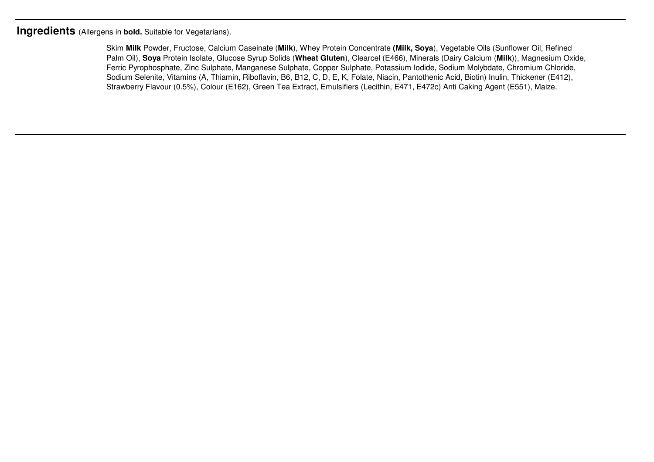**Ingredients** (Allergens in **bold.** Suitable for Vegetarians).

Skim **Milk** Powder, Fructose, Calcium Caseinate (**Milk**), Whey Protein Concentrate **(Milk, Soya**), Vegetable Oils (Sunflower Oil, Refined Palm Oil), **Soya** Protein Isolate, Glucose Syrup Solids (**Wheat Gluten**), Clearcel (E466), Minerals (Dairy Calcium (**Milk**)), Magnesium Oxide, Ferric Pyrophosphate, Zinc Sulphate, Manganese Sulphate, Copper Sulphate, Potassium Iodide, Sodium Molybdate, Chromium Chloride, Sodium Selenite, Vitamins (A, Thiamin, Riboflavin, B6, B12, C, D, E, K, Folate, Niacin, Pantothenic Acid, Biotin) Inulin, Thickener (E412), Strawberry Flavour (0.5%), Colour (E162), Green Tea Extract, Emulsifiers (Lecithin, E471, E472c) Anti Caking Agent (E551), Maize.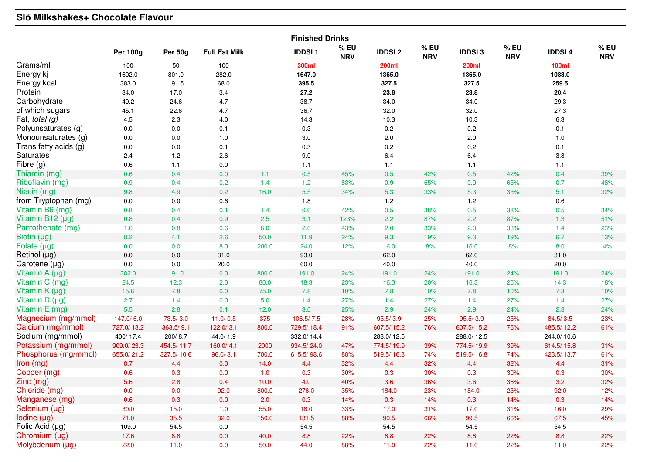# **Slõ Milkshakes+ Chocolate Flavour**

|                       | <b>Finished Drinks</b> |            |                      |        |               |                      |               |                      |               |                      |               |                   |
|-----------------------|------------------------|------------|----------------------|--------|---------------|----------------------|---------------|----------------------|---------------|----------------------|---------------|-------------------|
|                       | <b>Per 100g</b>        | Per 50g    | <b>Full Fat Milk</b> |        | <b>IDDSI1</b> | $%$ EU<br><b>NRV</b> | <b>IDDSI2</b> | $%$ EU<br><b>NRV</b> | <b>IDDSI3</b> | $%$ EU<br><b>NRV</b> | <b>IDDSI4</b> | %EU<br><b>NRV</b> |
| Grams/ml              | 100                    | 50         | 100                  |        | 300ml         |                      | 200ml         |                      | <b>200ml</b>  |                      | <b>100ml</b>  |                   |
| Energy kj             | 1602.0                 | 801.0      | 282.0                |        | 1647.0        |                      | 1365.0        |                      | 1365.0        |                      | 1083.0        |                   |
| Energy kcal           | 383.0                  | 191.5      | 68.0                 |        | 395.5         |                      | 327.5         |                      | 327.5         |                      | 259.5         |                   |
| Protein               | 34.0                   | 17.0       | 3.4                  |        | 27.2          |                      | 23.8          |                      | 23.8          |                      | 20.4          |                   |
| Carbohydrate          | 49.2                   | 24.6       | 4.7                  |        | 38.7          |                      | 34.0          |                      | 34.0          |                      | 29.3          |                   |
| of which sugars       | 45.1                   | 22.6       | 4.7                  |        | 36.7          |                      | 32.0          |                      | 32.0          |                      | 27.3          |                   |
| Fat, total $(g)$      | 4.5                    | 2.3        | 4.0                  |        | 14.3          |                      | 10.3          |                      | 10.3          |                      | 6.3           |                   |
| Polyunsaturates (g)   | 0.0                    | 0.0        | 0.1                  |        | 0.3           |                      | 0.2           |                      | 0.2           |                      | 0.1           |                   |
| Monounsaturates (g)   | 0.0                    | 0.0        | 1.0                  |        | $3.0\,$       |                      | 2.0           |                      | 2.0           |                      | 1.0           |                   |
| Trans fatty acids (g) | $0.0\,$                | 0.0        | 0.1                  |        | 0.3           |                      | 0.2           |                      | 0.2           |                      | 0.1           |                   |
| <b>Saturates</b>      | 2.4                    | 1.2        | 2.6                  |        | 9.0           |                      | 6.4           |                      | 6.4           |                      | 3.8           |                   |
| Fibre (g)             | 0.6                    | 1.1        | $0.0\,$              |        | 1.1           |                      | 1.1           |                      | 1.1           |                      | $1.1$         |                   |
| Thiamin (mg)          | 0.6                    | 0.4        | $0.0\,$              | 1.1    | 0.5           | 45%                  | 0.5           | 42%                  | 0.5           | 42%                  | 0.4           | 39%               |
| Riboflavin (mg)       | 0.9                    | 0.4        | 0.2                  | 1.4    | $1.2$         | 83%                  | 0.9           | 65%                  | 0.9           | 65%                  | 0.7           | 48%               |
| Niacin (mg)           | 9.8                    | 4.9        | 0.2                  | 16.0   | $5.5\,$       | 34%                  | 5.3           | 33%                  | 5.3           | 33%                  | 5.1           | 32%               |
| from Tryptophan (mg)  | $0.0\,$                | $0.0\,$    | $0.6\,$              |        | $1.8$         |                      | $1.2\,$       |                      | 1.2           |                      | 0.6           |                   |
| Vitamin B6 (mg)       | 0.8                    | 0.4        | 0.1                  | 1.4    | 0.6           | 42%                  | 0.5           | 38%                  | 0.5           | 38%                  | 0.5           | 34%               |
| Vitamin B12 (µg)      | 0.8                    | 0.4        | 0.9                  | 2.5    | 3.1           | 123%                 | 2.2           | 87%                  | 2.2           | 87%                  | 1.3           | 51%               |
| Pantothenate (mg)     | 1.6                    | 0.8        | 0.6                  | 6.0    | 2.6           | 43%                  | 2.0           | 33%                  | 2.0           | 33%                  | 1.4           | 23%               |
| Biotin (µg)           | 8.2                    | 4.1        | 2.6                  | 50.0   | 11.9          | 24%                  | 9.3           | 19%                  | 9.3           | 19%                  | 6.7           | 13%               |
| Folate $(\mu g)$      | 0.0                    | 0.0        | 8.0                  | 200.0  | 24.0          | 12%                  | 16.0          | 8%                   | 16.0          | 8%                   | 8.0           | 4%                |
| Retinol (µg)          | 0.0                    | 0.0        | 31.0                 |        | 93.0          |                      | 62.0          |                      | 62.0          |                      | 31.0          |                   |
| Carotene (µg)         | 0.0                    | 0.0        | 20.0                 |        | 60.0          |                      | 40.0          |                      | 40.0          |                      | 20.0          |                   |
| Vitamin A (µg)        | 382.0                  | 191.0      | 0.0                  | 800.0  | 191.0         | 24%                  | 191.0         | 24%                  | 191.0         | 24%                  | 191.0         | 24%               |
| Vitamin C (mg)        | 24.5                   | 12.3       | 2.0                  | 80.0   | 18.3          | 23%                  | 16.3          | 20%                  | 16.3          | 20%                  | 14.3          | 18%               |
| Vitamin K (µg)        | 15.6                   | 7.8        | 0.0                  | 75.0   | 7.8           | 10%                  | 7.8           | 10%                  | 7.8           | 10%                  | 7.8           | 10%               |
| Vitamin D (µg)        | 2.7                    | 1.4        | 0.0                  | 5.0    | 1.4           | 27%                  | 1.4           | 27%                  | 1.4           | 27%                  | 1.4           | 27%               |
| Vitamin E (mg)        | 5.5                    | 2.8        | 0.1                  | 12.0   | 3.0           | 25%                  | 2.9           | 24%                  | 2.9           | 24%                  | 2.8           | 24%               |
| Magnesium (mg/mmol)   | 147.0/6.0              | 73.5/3.0   | 11.0/0.5             | 375    | 106.5/7.5     | 28%                  | 95.5/3.9      | 25%                  | 95.5/3.9      | 25%                  | 84.5/3.5      | 23%               |
| Calcium (mg/mmol)     | 727.0/18.2             | 363.5/9.1  | 122.0/3.1            | 800.0  | 729.5/18.4    | 91%                  | 607.5/15.2    | 76%                  | 607.5/15.2    | 76%                  | 485.5/12.2    | 61%               |
| Sodium (mg/mmol)      | 400/17.4               | 200/8.7    | 44.0/1.9             |        | 332.0/14.4    |                      | 288.0/12.5    |                      | 288.0/12.5    |                      | 244.0/10.6    |                   |
| Potassium (mg/mmol)   | 909.0/23.3             | 454.5/11.7 | 160.0/4.1            | 2000   | 934.5/24.0    | 47%                  | 774.5/19.9    | 39%                  | 774.5/19.9    | 39%                  | 614.5/15.8    | 31%               |
| Phosphorus (mg/mmol)  | 655.0/21.2             | 327.5/10.6 | 96.0 / 3.1           | 700.0  | 615.5/98.6    | 88%                  | 519.5/16.8    | 74%                  | 519.5/16.8    | 74%                  | 423.5/13.7    | 61%               |
| Iron (mg)             | 8.7                    | 4.4        | 0.0                  | 14.0   | 4.4           | 32%                  | 4.4           | 32%                  | 4.4           | 32%                  | 4.4           | 31%               |
| Copper (mg)           | 0.6                    | 0.3        | 0.0                  | 1.0    | 0.3           | 30%                  | 0.3           | 30%                  | 0.3           | 30%                  | 0.3           | 30%               |
| Zinc (mg)             | 5.6                    | 2.8        | 0.4                  | $10.0$ | 4.0           | 40%                  | 3.6           | 36%                  | 3.6           | 36%                  | 3.2           | 32%               |
| Chloride (mg)         | 0.0                    | 0.0        | 92.0                 | 800.0  | 276.0         | 35%                  | 184.0         | 23%                  | 184.0         | 23%                  | 92.0          | 12%               |
| Manganese (mg)        | 0.6                    | 0.3        | 0.0                  | 2.0    | 0.3           | 14%                  | 0.3           | 14%                  | 0.3           | 14%                  | 0.3           | 14%               |
| Selenium (µg)         | 30.0                   | 15.0       | 1.0                  | 55.0   | 18.0          | 33%                  | 17.0          | 31%                  | 17.0          | 31%                  | 16.0          | 29%               |
| Iodine (µg)           | 71.0                   | 35.5       | 32.0                 | 150.0  | 131.5         | 88%                  | 99.5          | 66%                  | 99.5          | 66%                  | 67.5          | 45%               |
| Folic Acid (µg)       | 109.0                  | 54.5       | $0.0\,$              |        | 54.5          |                      | 54.5          |                      | 54.5          |                      | 54.5          |                   |
| Chromium (µg)         | 17.6                   | 8.8        | 0.0                  | 40.0   | 8.8           | 22%                  | 8.8           | 22%                  | 8.8           | 22%                  | 8.8           | 22%               |
| Molybdenum (µg)       | 22.0                   | $11.0$     | 0.0                  | 50.0   | 44.0          | 88%                  | $11.0$        | 22%                  | $11.0$        | 22%                  | 11.0          | 22%               |
|                       |                        |            |                      |        |               |                      |               |                      |               |                      |               |                   |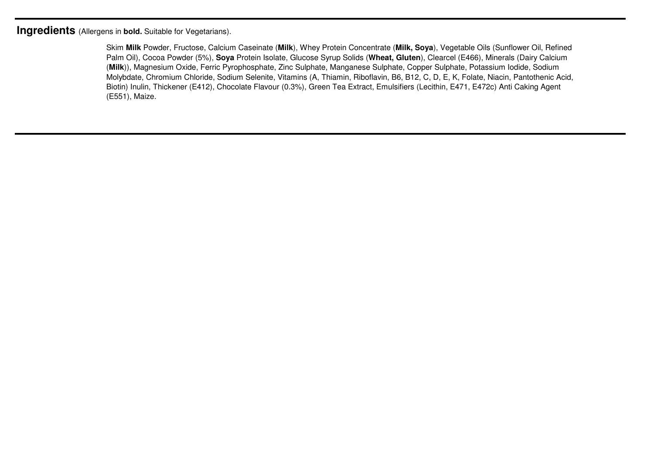**Ingredients** (Allergens in **bold.** Suitable for Vegetarians).

Skim **Milk** Powder, Fructose, Calcium Caseinate (**Milk**), Whey Protein Concentrate (**Milk, Soya**), Vegetable Oils (Sunflower Oil, Refined Palm Oil), Cocoa Powder (5%), **Soya** Protein Isolate, Glucose Syrup Solids (**Wheat, Gluten**), Clearcel (E466), Minerals (Dairy Calcium (**Milk**)), Magnesium Oxide, Ferric Pyrophosphate, Zinc Sulphate, Manganese Sulphate, Copper Sulphate, Potassium Iodide, Sodium Molybdate, Chromium Chloride, Sodium Selenite, Vitamins (A, Thiamin, Riboflavin, B6, B12, C, D, E, K, Folate, Niacin, Pantothenic Acid, Biotin) Inulin, Thickener (E412), Chocolate Flavour (0.3%), Green Tea Extract, Emulsifiers (Lecithin, E471, E472c) Anti Caking Agent (E551), Maize.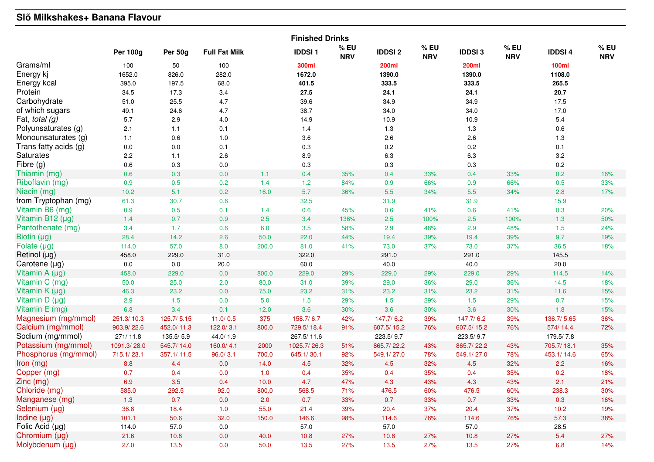# **Slõ Milkshakes+ Banana Flavour**

|                       | <b>Finished Drinks</b> |            |                      |       |               |                      |               |                      |               |                      |               |                   |
|-----------------------|------------------------|------------|----------------------|-------|---------------|----------------------|---------------|----------------------|---------------|----------------------|---------------|-------------------|
|                       | <b>Per 100g</b>        | Per 50g    | <b>Full Fat Milk</b> |       | <b>IDDSI1</b> | $%$ EU<br><b>NRV</b> | <b>IDDSI2</b> | $%$ EU<br><b>NRV</b> | <b>IDDSI3</b> | $%$ EU<br><b>NRV</b> | <b>IDDSI4</b> | %EU<br><b>NRV</b> |
| Grams/ml              | 100                    | 50         | 100                  |       | 300ml         |                      | 200ml         |                      | 200ml         |                      | <b>100ml</b>  |                   |
| Energy kj             | 1652.0                 | 826.0      | 282.0                |       | 1672.0        |                      | 1390.0        |                      | 1390.0        |                      | 1108.0        |                   |
| Energy kcal           | 395.0                  | 197.5      | 68.0                 |       | 401.5         |                      | 333.5         |                      | 333.5         |                      | 265.5         |                   |
| Protein               | 34.5                   | 17.3       | 3.4                  |       | 27.5          |                      | 24.1          |                      | 24.1          |                      | 20.7          |                   |
| Carbohydrate          | 51.0                   | 25.5       | 4.7                  |       | 39.6          |                      | 34.9          |                      | 34.9          |                      | 17.5          |                   |
| of which sugars       | 49.1                   | 24.6       | 4.7                  |       | 38.7          |                      | 34.0          |                      | 34.0          |                      | 17.0          |                   |
| Fat, total $(g)$      | 5.7                    | 2.9        | $4.0\,$              |       | 14.9          |                      | 10.9          |                      | 10.9          |                      | 5.4           |                   |
| Polyunsaturates (g)   | 2.1                    | 1.1        | 0.1                  |       | 1.4           |                      | 1.3           |                      | $1.3$         |                      | $0.6\,$       |                   |
| Monounsaturates (g)   | 1.1                    | 0.6        | 1.0                  |       | 3.6           |                      | 2.6           |                      | 2.6           |                      | 1.3           |                   |
| Trans fatty acids (g) | $0.0\,$                | 0.0        | 0.1                  |       | 0.3           |                      | $0.2\,$       |                      | 0.2           |                      | 0.1           |                   |
| <b>Saturates</b>      | 2.2                    | 1.1        | 2.6                  |       | 8.9           |                      | 6.3           |                      | 6.3           |                      | 3.2           |                   |
| Fibre (g)             | 0.6                    | 0.3        | $0.0\,$              |       | 0.3           |                      | 0.3           |                      | 0.3           |                      | 0.2           |                   |
| Thiamin (mg)          | 0.6                    | 0.3        | $0.0\,$              | 1.1   | 0.4           | 35%                  | 0.4           | 33%                  | 0.4           | 33%                  | 0.2           | 16%               |
| Riboflavin (mg)       | 0.9                    | 0.5        | 0.2                  | 1.4   | $1.2$         | 84%                  | 0.9           | 66%                  | 0.9           | 66%                  | 0.5           | 33%               |
| Niacin (mg)           | 10.2                   | 5.1        | 0.2                  | 16.0  | 5.7           | 36%                  | 5.5           | 34%                  | 5.5           | 34%                  | 2.8           | 17%               |
| from Tryptophan (mg)  | 61.3                   | 30.7       | 0.6                  |       | 32.5          |                      | 31.9          |                      | 31.9          |                      | 15.9          |                   |
| Vitamin B6 (mg)       | 0.9                    | 0.5        | 0.1                  | 1.4   | 0.6           | 45%                  | 0.6           | 41%                  | 0.6           | 41%                  | 0.3           | 20%               |
| Vitamin B12 (µg)      | 1.4                    | 0.7        | 0.9                  | 2.5   | 3.4           | 136%                 | 2.5           | 100%                 | 2.5           | 100%                 | 1.3           | 50%               |
| Pantothenate (mg)     | 3.4                    | 1.7        | 0.6                  | 6.0   | 3.5           | 58%                  | 2.9           | 48%                  | 2.9           | 48%                  | 1.5           | 24%               |
| Biotin (µg)           | 28.4                   | 14.2       | 2.6                  | 50.0  | 22.0          | 44%                  | 19.4          | 39%                  | 19.4          | 39%                  | 9.7           | 19%               |
| Folate $(\mu g)$      | 114.0                  | 57.0       | 8.0                  | 200.0 | 81.0          | 41%                  | 73.0          | 37%                  | 73.0          | 37%                  | 36.5          | 18%               |
| Retinol (µg)          | 458.0                  | 229.0      | 31.0                 |       | 322.0         |                      | 291.0         |                      | 291.0         |                      | 145.5         |                   |
| Carotene (µg)         | 0.0                    | 0.0        | 20.0                 |       | 60.0          |                      | 40.0          |                      | 40.0          |                      | 20.0          |                   |
| Vitamin A (µg)        | 458.0                  | 229.0      | 0.0                  | 800.0 | 229.0         | 29%                  | 229.0         | 29%                  | 229.0         | 29%                  | 114.5         | 14%               |
| Vitamin C (mg)        | 50.0                   | 25.0       | 2.0                  | 80.0  | 31.0          | 39%                  | 29.0          | 36%                  | 29.0          | 36%                  | 14.5          | 18%               |
| Vitamin $K(\mu g)$    | 46.3                   | 23.2       | 0.0                  | 75.0  | 23.2          | 31%                  | 23.2          | 31%                  | 23.2          | 31%                  | 11.6          | 15%               |
| Vitamin $D(\mu g)$    | 2.9                    | 1.5        | 0.0                  | 5.0   | 1.5           | 29%                  | $1.5$         | 29%                  | $1.5$         | 29%                  | 0.7           | 15%               |
| Vitamin E (mg)        | 6.8                    | 3.4        | 0.1                  | 12.0  | 3.6           | 30%                  | 3.6           | 30%                  | 3.6           | 30%                  | 1.8           | 15%               |
| Magnesium (mg/mmol)   | 251.3/10.3             | 125.7/5.15 | 11.0/0.5             | 375   | 158.7/6.7     | 42%                  | 147.7/6.2     | 39%                  | 147.7/6.2     | 39%                  | 136.7/5.65    | 36%               |
| Calcium (mg/mmol)     | 903.9/22.6             | 452.0/11.3 | 122.0/3.1            | 800.0 | 729.5/18.4    | 91%                  | 607.5/15.2    | 76%                  | 607.5/15.2    | 76%                  | 574/14.4      | 72%               |
| Sodium (mg/mmol)      | 271/11.8               | 135.5/5.9  | 44.0/1.9             |       | 267.5/11.6    |                      | 223.5/9.7     |                      | 223.5/9.7     |                      | 179.5/7.8     |                   |
| Potassium (mg/mmol)   | 1091.3/28.0            | 545.7/14.0 | 160.0/4.1            | 2000  | 1025.7/26.3   | 51%                  | 865.7/22.2    | 43%                  | 865.7/22.2    | 43%                  | 705.7/18.1    | 35%               |
| Phosphorus (mg/mmol)  | 715.1/23.1             | 357.1/11.5 | 96.0 / 3.1           | 700.0 | 645.1/30.1    | 92%                  | 549.1/27.0    | 78%                  | 549.1/27.0    | 78%                  | 453.1/14.6    | 65%               |
| Iron (mg)             | 8.8                    | 4.4        | 0.0                  | 14.0  | 4.5           | 32%                  | 4.5           | 32%                  | 4.5           | 32%                  | 2.2           | 16%               |
| Copper (mg)           | 0.7                    | 0.4        | 0.0                  | 1.0   | 0.4           | 35%                  | 0.4           | 35%                  | 0.4           | 35%                  | 0.2           | 18%               |
| Zinc (mg)             | 6.9                    | 3.5        | 0.4                  | 10.0  | 4.7           | 47%                  | 4.3           | 43%                  | 4.3           | 43%                  | 2.1           | 21%               |
| Chloride (mg)         | 585.0                  | 292.5      | 92.0                 | 800.0 | 568.5         | 71%                  | 476.5         | 60%                  | 476.5         | 60%                  | 238.3         | 30%               |
| Manganese (mg)        | 1.3                    | 0.7        | 0.0                  | 2.0   | 0.7           | 33%                  | 0.7           | 33%                  | 0.7           | 33%                  | 0.3           | 16%               |
| Selenium (µg)         | 36.8                   | 18.4       | 1.0                  | 55.0  | 21.4          | 39%                  | 20.4          | 37%                  | 20.4          | 37%                  | 10.2          | 19%               |
| Iodine (µg)           | 101.1                  | 50.6       | 32.0                 | 150.0 | 146.6         | 98%                  | 114.6         | 76%                  | 114.6         | 76%                  | 57.3          | 38%               |
| Folic Acid $(\mu g)$  | 114.0                  | 57.0       | $0.0\,$              |       | 57.0          |                      | 57.0          |                      | 57.0          |                      | 28.5          |                   |
| Chromium (µg)         | 21.6                   | 10.8       | 0.0                  | 40.0  | 10.8          | 27%                  | 10.8          | 27%                  | 10.8          | 27%                  | 5.4           | 27%               |
| Molybdenum (µg)       | 27.0                   | 13.5       | 0.0                  | 50.0  | 13.5          | 27%                  | 13.5          | 27%                  | 13.5          | 27%                  | 6.8           | 14%               |